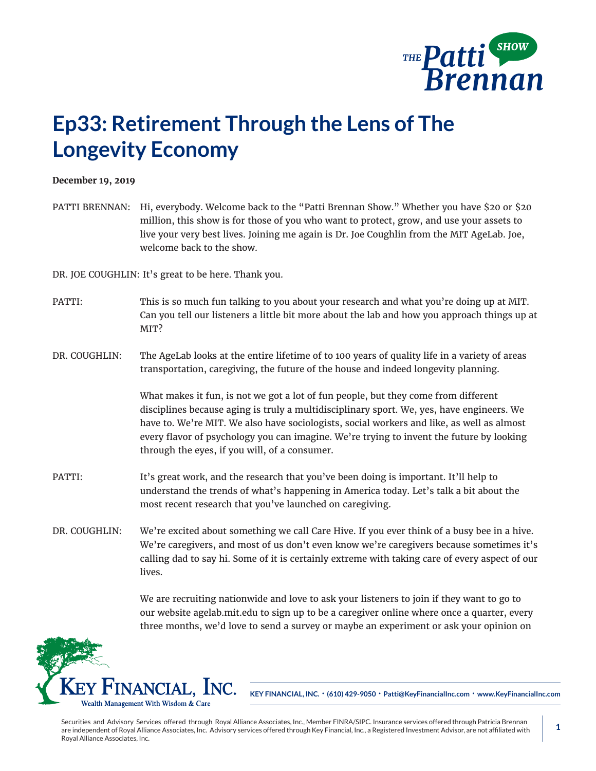

## **Ep33: Retirement Through the Lens of The Longevity Economy**

## **December 19, 2019**

PATTI BRENNAN: Hi, everybody. Welcome back to the "Patti Brennan Show." Whether you have \$20 or \$20 million, this show is for those of you who want to protect, grow, and use your assets to live your very best lives. Joining me again is Dr. Joe Coughlin from the MIT AgeLab. Joe, welcome back to the show.

DR. JOE COUGHLIN: It's great to be here. Thank you.

- PATTI: This is so much fun talking to you about your research and what you're doing up at MIT. Can you tell our listeners a little bit more about the lab and how you approach things up at MIT?
- DR. COUGHLIN: The AgeLab looks at the entire lifetime of to 100 years of quality life in a variety of areas transportation, caregiving, the future of the house and indeed longevity planning.

What makes it fun, is not we got a lot of fun people, but they come from different disciplines because aging is truly a multidisciplinary sport. We, yes, have engineers. We have to. We're MIT. We also have sociologists, social workers and like, as well as almost every flavor of psychology you can imagine. We're trying to invent the future by looking through the eyes, if you will, of a consumer.

- PATTI: It's great work, and the research that you've been doing is important. It'll help to understand the trends of what's happening in America today. Let's talk a bit about the most recent research that you've launched on caregiving.
- DR. COUGHLIN: We're excited about something we call Care Hive. If you ever think of a busy bee in a hive. We're caregivers, and most of us don't even know we're caregivers because sometimes it's calling dad to say hi. Some of it is certainly extreme with taking care of every aspect of our lives.

We are recruiting nationwide and love to ask your listeners to join if they want to go to our website agelab.mit.edu to sign up to be a caregiver online where once a quarter, every three months, we'd love to send a survey or maybe an experiment or ask your opinion on



**KEY FINANCIAL, INC. • (610) 429-9050 • Patti@KeyFinancialInc.com • www.KeyFinancialInc.com**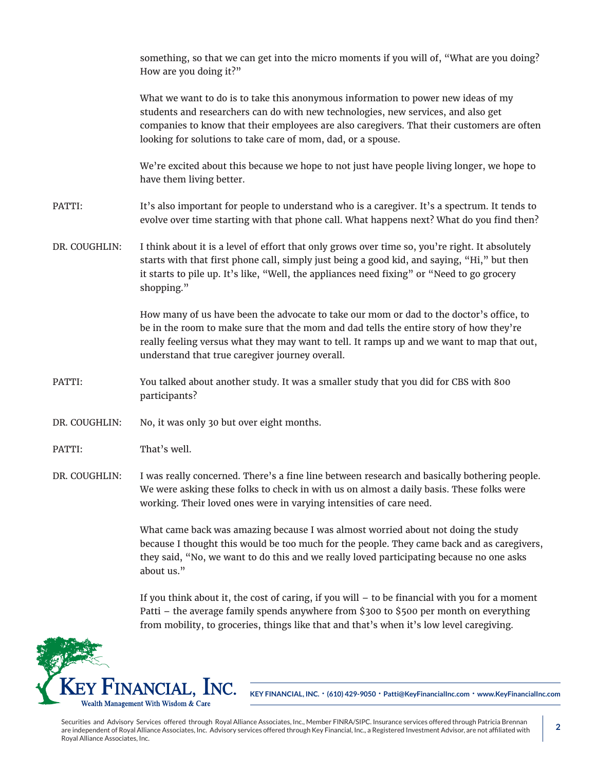|               | something, so that we can get into the micro moments if you will of, "What are you doing?<br>How are you doing it?"                                                                                                                                                                                                                  |
|---------------|--------------------------------------------------------------------------------------------------------------------------------------------------------------------------------------------------------------------------------------------------------------------------------------------------------------------------------------|
|               | What we want to do is to take this anonymous information to power new ideas of my<br>students and researchers can do with new technologies, new services, and also get<br>companies to know that their employees are also caregivers. That their customers are often<br>looking for solutions to take care of mom, dad, or a spouse. |
|               | We're excited about this because we hope to not just have people living longer, we hope to<br>have them living better.                                                                                                                                                                                                               |
| PATTI:        | It's also important for people to understand who is a caregiver. It's a spectrum. It tends to<br>evolve over time starting with that phone call. What happens next? What do you find then?                                                                                                                                           |
| DR. COUGHLIN: | I think about it is a level of effort that only grows over time so, you're right. It absolutely<br>starts with that first phone call, simply just being a good kid, and saying, "Hi," but then<br>it starts to pile up. It's like, "Well, the appliances need fixing" or "Need to go grocery<br>shopping."                           |
|               | How many of us have been the advocate to take our mom or dad to the doctor's office, to<br>be in the room to make sure that the mom and dad tells the entire story of how they're<br>really feeling versus what they may want to tell. It ramps up and we want to map that out,<br>understand that true caregiver journey overall.   |
| PATTI:        | You talked about another study. It was a smaller study that you did for CBS with 800<br>participants?                                                                                                                                                                                                                                |
| DR. COUGHLIN: | No, it was only 30 but over eight months.                                                                                                                                                                                                                                                                                            |
| PATTI:        | That's well.                                                                                                                                                                                                                                                                                                                         |
|               | DR. COUGHLIN: I was really concerned. There's a fine line between research and basically bothering people.<br>We were asking these folks to check in with us on almost a daily basis. These folks were<br>working. Their loved ones were in varying intensities of care need.                                                        |
|               | What came back was amazing because I was almost worried about not doing the study<br>because I thought this would be too much for the people. They came back and as caregivers,<br>they said, "No, we want to do this and we really loved participating because no one asks<br>about us."                                            |

If you think about it, the cost of caring, if you will – to be financial with you for a moment Patti – the average family spends anywhere from \$300 to \$500 per month on everything from mobility, to groceries, things like that and that's when it's low level caregiving.



**KEY FINANCIAL, INC. • (610) 429-9050 • Patti@KeyFinancialInc.com • www.KeyFinancialInc.com**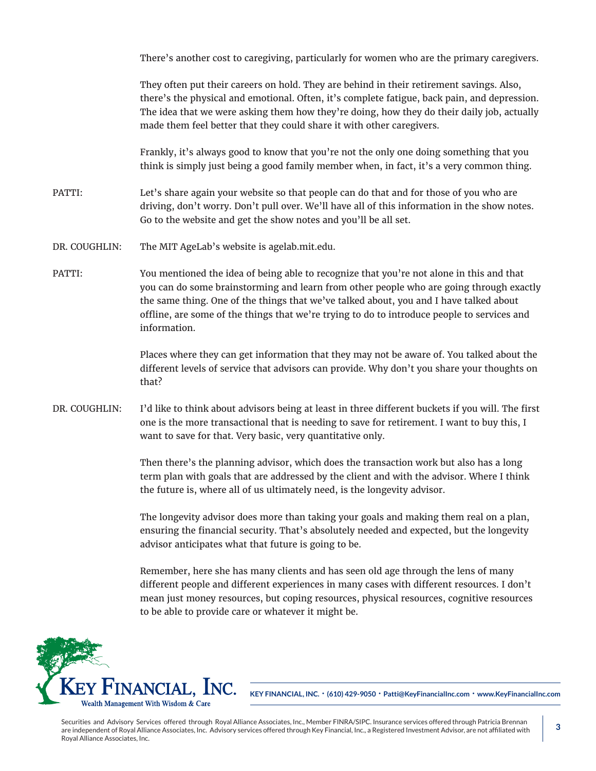There's another cost to caregiving, particularly for women who are the primary caregivers.

They often put their careers on hold. They are behind in their retirement savings. Also, there's the physical and emotional. Often, it's complete fatigue, back pain, and depression. The idea that we were asking them how they're doing, how they do their daily job, actually made them feel better that they could share it with other caregivers.

Frankly, it's always good to know that you're not the only one doing something that you think is simply just being a good family member when, in fact, it's a very common thing.

PATTI: Let's share again your website so that people can do that and for those of you who are driving, don't worry. Don't pull over. We'll have all of this information in the show notes. Go to the website and get the show notes and you'll be all set.

- DR. COUGHLIN: The MIT AgeLab's website is agelab.mit.edu.
- PATTI: You mentioned the idea of being able to recognize that you're not alone in this and that you can do some brainstorming and learn from other people who are going through exactly the same thing. One of the things that we've talked about, you and I have talked about offline, are some of the things that we're trying to do to introduce people to services and information.

Places where they can get information that they may not be aware of. You talked about the different levels of service that advisors can provide. Why don't you share your thoughts on that?

DR. COUGHLIN: I'd like to think about advisors being at least in three different buckets if you will. The first one is the more transactional that is needing to save for retirement. I want to buy this, I want to save for that. Very basic, very quantitative only.

> Then there's the planning advisor, which does the transaction work but also has a long term plan with goals that are addressed by the client and with the advisor. Where I think the future is, where all of us ultimately need, is the longevity advisor.

> The longevity advisor does more than taking your goals and making them real on a plan, ensuring the financial security. That's absolutely needed and expected, but the longevity advisor anticipates what that future is going to be.

> Remember, here she has many clients and has seen old age through the lens of many different people and different experiences in many cases with different resources. I don't mean just money resources, but coping resources, physical resources, cognitive resources to be able to provide care or whatever it might be.



**KEY FINANCIAL, INC. • (610) 429-9050 • Patti@KeyFinancialInc.com • www.KeyFinancialInc.com**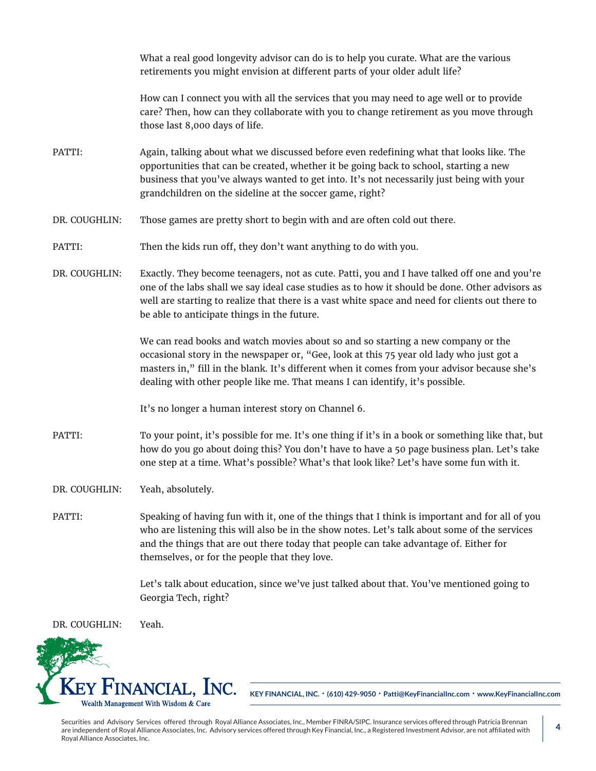What a real good longevity advisor can do is to help you curate. What are the various retirements you might envision at different parts of your older adult life?

How can I connect you with all the services that you may need to age well or to provide care? Then, how can they collaborate with you to change retirement as you move through those last 8,000 days of life.

- PATTI: Again, talking about what we discussed before even redefining what that looks like. The opportunities that can be created, whether it be going back to school, starting a new business that you've always wanted to get into. It's not necessarily just being with your grandchildren on the sideline at the soccer game, right?
- DR. COUGHLIN: Those games are pretty short to begin with and are often cold out there.
- PATTI: Then the kids run off, they don't want anything to do with you.
- DR. COUGHLIN: Exactly. They become teenagers, not as cute. Patti, you and I have talked off one and you're one of the labs shall we say ideal case studies as to how it should be done. Other advisors as well are starting to realize that there is a vast white space and need for clients out there to be able to anticipate things in the future.

We can read books and watch movies about so and so starting a new company or the occasional story in the newspaper or, "Gee, look at this 75 year old lady who just got a masters in," fill in the blank. It's different when it comes from your advisor because she's dealing with other people like me. That means I can identify, it's possible.

It's no longer a human interest story on Channel 6.

- PATTI: To your point, it's possible for me. It's one thing if it's in a book or something like that, but how do you go about doing this? You don't have to have a 50 page business plan. Let's take one step at a time. What's possible? What's that look like? Let's have some fun with it.
- DR. COUGHLIN: Yeah, absolutely.
- PATTI: Speaking of having fun with it, one of the things that I think is important and for all of you who are listening this will also be in the show notes. Let's talk about some of the services and the things that are out there today that people can take advantage of. Either for themselves, or for the people that they love.

Let's talk about education, since we've just talked about that. You've mentioned going to Georgia Tech, right?

DR. COUGHLIN: Yeah.



**KEY FINANCIAL, INC. • (610) 429-9050 • Patti@KeyFinancialInc.com • www.KeyFinancialInc.com**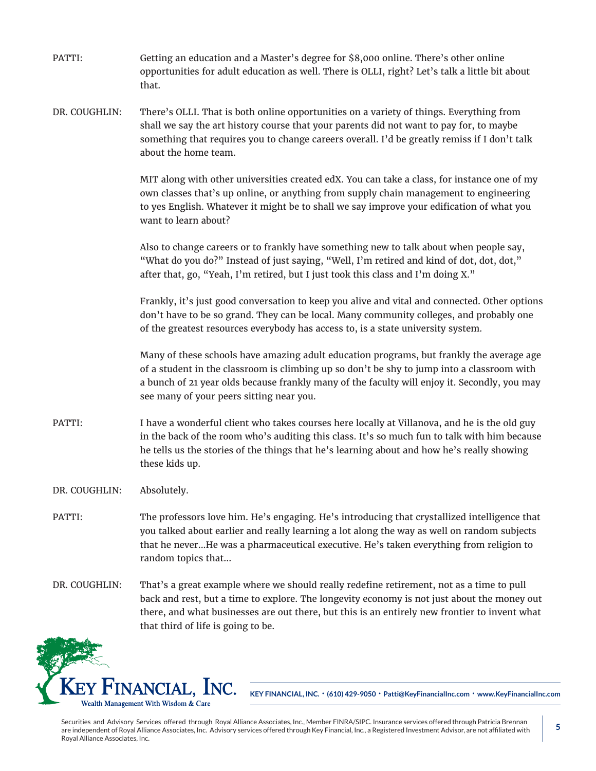PATTI: Getting an education and a Master's degree for \$8,000 online. There's other online opportunities for adult education as well. There is OLLI, right? Let's talk a little bit about that. DR. COUGHLIN: There's OLLI. That is both online opportunities on a variety of things. Everything from shall we say the art history course that your parents did not want to pay for, to maybe something that requires you to change careers overall. I'd be greatly remiss if I don't talk about the home team. MIT along with other universities created edX. You can take a class, for instance one of my own classes that's up online, or anything from supply chain management to engineering to yes English. Whatever it might be to shall we say improve your edification of what you want to learn about? Also to change careers or to frankly have something new to talk about when people say, "What do you do?" Instead of just saying, "Well, I'm retired and kind of dot, dot, dot," after that, go, "Yeah, I'm retired, but I just took this class and I'm doing X." Frankly, it's just good conversation to keep you alive and vital and connected. Other options don't have to be so grand. They can be local. Many community colleges, and probably one of the greatest resources everybody has access to, is a state university system. Many of these schools have amazing adult education programs, but frankly the average age of a student in the classroom is climbing up so don't be shy to jump into a classroom with a bunch of 21 year olds because frankly many of the faculty will enjoy it. Secondly, you may see many of your peers sitting near you. PATTI: I have a wonderful client who takes courses here locally at Villanova, and he is the old guy in the back of the room who's auditing this class. It's so much fun to talk with him because he tells us the stories of the things that he's learning about and how he's really showing these kids up. DR. COUGHLIN: Absolutely. PATTI: The professors love him. He's engaging. He's introducing that crystallized intelligence that you talked about earlier and really learning a lot along the way as well on random subjects that he never...He was a pharmaceutical executive. He's taken everything from religion to random topics that... DR. COUGHLIN: That's a great example where we should really redefine retirement, not as a time to pull back and rest, but a time to explore. The longevity economy is not just about the money out



**KEY FINANCIAL, INC. • (610) 429-9050 • Patti@KeyFinancialInc.com • www.KeyFinancialInc.com**

Securities and Advisory Services offered through Royal Alliance Associates, Inc., Member FINRA/SIPC. Insurance services offered through Patricia Brennan are independent of Royal Alliance Associates, Inc. Advisory services offered through Key Financial, Inc., a Registered Investment Advisor, are not affiliated with Royal Alliance Associates, Inc.

there, and what businesses are out there, but this is an entirely new frontier to invent what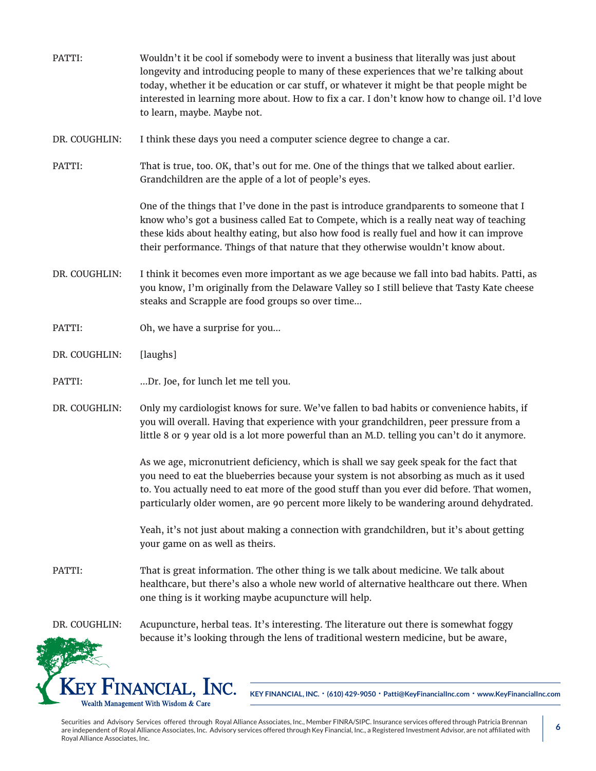- PATTI: Wouldn't it be cool if somebody were to invent a business that literally was just about longevity and introducing people to many of these experiences that we're talking about today, whether it be education or car stuff, or whatever it might be that people might be interested in learning more about. How to fix a car. I don't know how to change oil. I'd love to learn, maybe. Maybe not.
- DR. COUGHLIN: I think these days you need a computer science degree to change a car.
- PATTI: That is true, too. OK, that's out for me. One of the things that we talked about earlier. Grandchildren are the apple of a lot of people's eyes.

One of the things that I've done in the past is introduce grandparents to someone that I know who's got a business called Eat to Compete, which is a really neat way of teaching these kids about healthy eating, but also how food is really fuel and how it can improve their performance. Things of that nature that they otherwise wouldn't know about.

- DR. COUGHLIN: I think it becomes even more important as we age because we fall into bad habits. Patti, as you know, I'm originally from the Delaware Valley so I still believe that Tasty Kate cheese steaks and Scrapple are food groups so over time...
- PATTI: Oh, we have a surprise for you...
- DR. COUGHLIN: [laughs]
- PATTI: ...Dr. Joe, for lunch let me tell you.
- DR. COUGHLIN: Only my cardiologist knows for sure. We've fallen to bad habits or convenience habits, if you will overall. Having that experience with your grandchildren, peer pressure from a little 8 or 9 year old is a lot more powerful than an M.D. telling you can't do it anymore.

As we age, micronutrient deficiency, which is shall we say geek speak for the fact that you need to eat the blueberries because your system is not absorbing as much as it used to. You actually need to eat more of the good stuff than you ever did before. That women, particularly older women, are 90 percent more likely to be wandering around dehydrated.

Yeah, it's not just about making a connection with grandchildren, but it's about getting your game on as well as theirs.

PATTI: That is great information. The other thing is we talk about medicine. We talk about healthcare, but there's also a whole new world of alternative healthcare out there. When one thing is it working maybe acupuncture will help.

DR. COUGHLIN: Acupuncture, herbal teas. It's interesting. The literature out there is somewhat foggy because it's looking through the lens of traditional western medicine, but be aware,



**KEY FINANCIAL, INC. • (610) 429-9050 • Patti@KeyFinancialInc.com • www.KeyFinancialInc.com**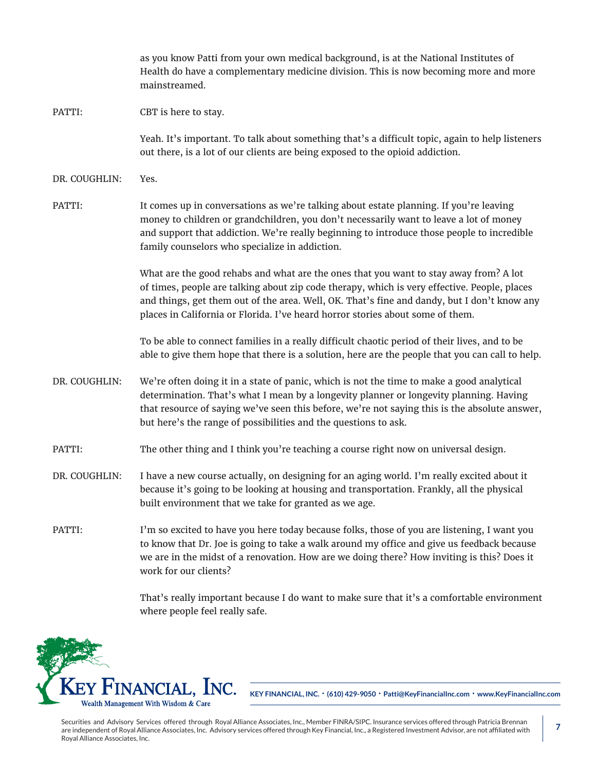as you know Patti from your own medical background, is at the National Institutes of Health do have a complementary medicine division. This is now becoming more and more mainstreamed. PATTI: CBT is here to stay. Yeah. It's important. To talk about something that's a difficult topic, again to help listeners out there, is a lot of our clients are being exposed to the opioid addiction. DR. COUGHLIN: Yes. PATTI: It comes up in conversations as we're talking about estate planning. If you're leaving money to children or grandchildren, you don't necessarily want to leave a lot of money and support that addiction. We're really beginning to introduce those people to incredible family counselors who specialize in addiction. What are the good rehabs and what are the ones that you want to stay away from? A lot of times, people are talking about zip code therapy, which is very effective. People, places and things, get them out of the area. Well, OK. That's fine and dandy, but I don't know any places in California or Florida. I've heard horror stories about some of them. To be able to connect families in a really difficult chaotic period of their lives, and to be able to give them hope that there is a solution, here are the people that you can call to help. DR. COUGHLIN: We're often doing it in a state of panic, which is not the time to make a good analytical determination. That's what I mean by a longevity planner or longevity planning. Having that resource of saying we've seen this before, we're not saying this is the absolute answer, but here's the range of possibilities and the questions to ask. PATTI: The other thing and I think you're teaching a course right now on universal design. DR. COUGHLIN: I have a new course actually, on designing for an aging world. I'm really excited about it because it's going to be looking at housing and transportation. Frankly, all the physical built environment that we take for granted as we age. PATTI: I'm so excited to have you here today because folks, those of you are listening, I want you to know that Dr. Joe is going to take a walk around my office and give us feedback because we are in the midst of a renovation. How are we doing there? How inviting is this? Does it work for our clients?

That's really important because I do want to make sure that it's a comfortable environment where people feel really safe.



**KEY FINANCIAL, INC. • (610) 429-9050 • Patti@KeyFinancialInc.com • www.KeyFinancialInc.com**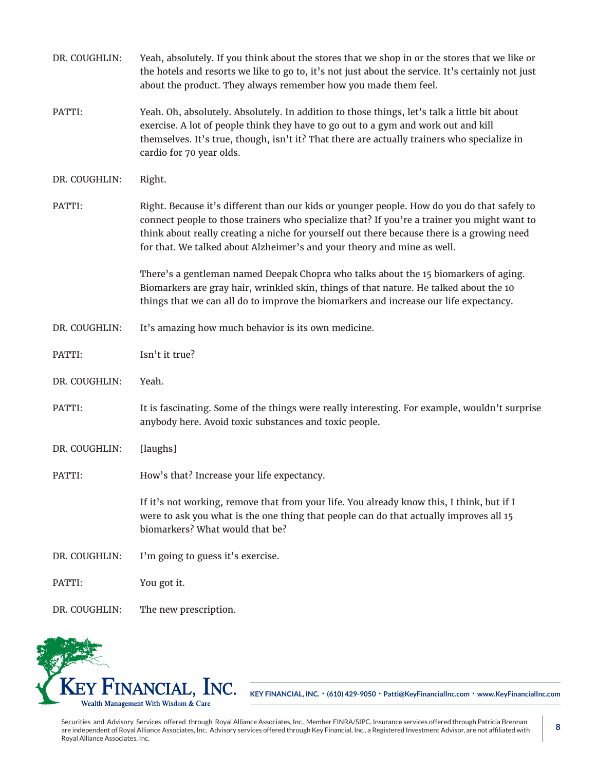| DR. COUGHLIN: | Yeah, absolutely. If you think about the stores that we shop in or the stores that we like or<br>the hotels and resorts we like to go to, it's not just about the service. It's certainly not just<br>about the product. They always remember how you made them feel.                                                                                               |
|---------------|---------------------------------------------------------------------------------------------------------------------------------------------------------------------------------------------------------------------------------------------------------------------------------------------------------------------------------------------------------------------|
| PATTI:        | Yeah. Oh, absolutely. Absolutely. In addition to those things, let's talk a little bit about<br>exercise. A lot of people think they have to go out to a gym and work out and kill<br>themselves. It's true, though, isn't it? That there are actually trainers who specialize in<br>cardio for 70 year olds.                                                       |
| DR. COUGHLIN: | Right.                                                                                                                                                                                                                                                                                                                                                              |
| PATTI:        | Right. Because it's different than our kids or younger people. How do you do that safely to<br>connect people to those trainers who specialize that? If you're a trainer you might want to<br>think about really creating a niche for yourself out there because there is a growing need<br>for that. We talked about Alzheimer's and your theory and mine as well. |
|               | There's a gentleman named Deepak Chopra who talks about the 15 biomarkers of aging.<br>Biomarkers are gray hair, wrinkled skin, things of that nature. He talked about the 10<br>things that we can all do to improve the biomarkers and increase our life expectancy.                                                                                              |
| DR. COUGHLIN: | It's amazing how much behavior is its own medicine.                                                                                                                                                                                                                                                                                                                 |
| PATTI:        | Isn't it true?                                                                                                                                                                                                                                                                                                                                                      |
| DR. COUGHLIN: | Yeah.                                                                                                                                                                                                                                                                                                                                                               |
| PATTI:        | It is fascinating. Some of the things were really interesting. For example, wouldn't surprise<br>anybody here. Avoid toxic substances and toxic people.                                                                                                                                                                                                             |
| DR. COUGHLIN: | [laughs]                                                                                                                                                                                                                                                                                                                                                            |
| PATTI:        | How's that? Increase your life expectancy.                                                                                                                                                                                                                                                                                                                          |
|               | If it's not working, remove that from your life. You already know this, I think, but if I<br>were to ask you what is the one thing that people can do that actually improves all 15<br>biomarkers? What would that be?                                                                                                                                              |
| DR. COUGHLIN: | I'm going to guess it's exercise.                                                                                                                                                                                                                                                                                                                                   |
| PATTI:        | You got it.                                                                                                                                                                                                                                                                                                                                                         |
| DR. COUGHLIN: | The new prescription.                                                                                                                                                                                                                                                                                                                                               |



**KEY FINANCIAL, INC. • (610) 429-9050 • Patti@KeyFinancialInc.com • www.KeyFinancialInc.com**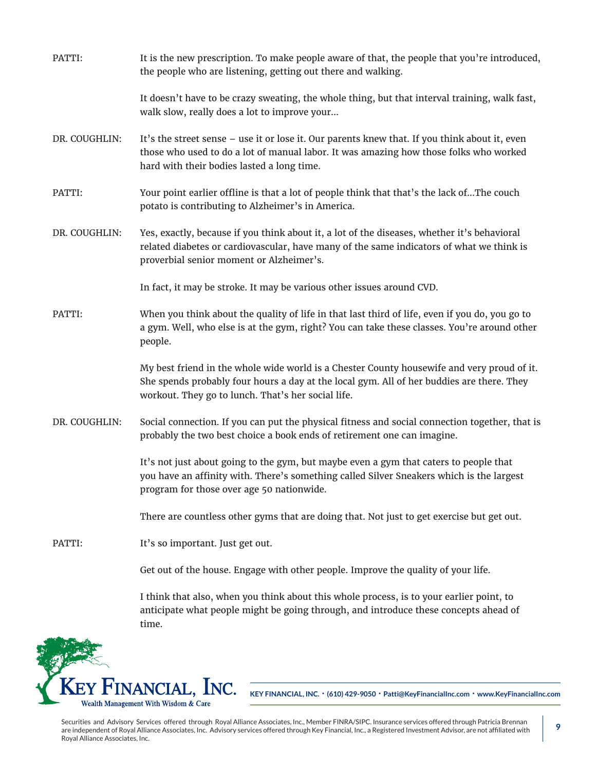| PATTI:        | It is the new prescription. To make people aware of that, the people that you're introduced,<br>the people who are listening, getting out there and walking.                                                                                  |
|---------------|-----------------------------------------------------------------------------------------------------------------------------------------------------------------------------------------------------------------------------------------------|
|               | It doesn't have to be crazy sweating, the whole thing, but that interval training, walk fast,<br>walk slow, really does a lot to improve your                                                                                                 |
| DR. COUGHLIN: | It's the street sense - use it or lose it. Our parents knew that. If you think about it, even<br>those who used to do a lot of manual labor. It was amazing how those folks who worked<br>hard with their bodies lasted a long time.          |
| PATTI:        | Your point earlier offline is that a lot of people think that that's the lack ofThe couch<br>potato is contributing to Alzheimer's in America.                                                                                                |
| DR. COUGHLIN: | Yes, exactly, because if you think about it, a lot of the diseases, whether it's behavioral<br>related diabetes or cardiovascular, have many of the same indicators of what we think is<br>proverbial senior moment or Alzheimer's.           |
|               | In fact, it may be stroke. It may be various other issues around CVD.                                                                                                                                                                         |
| PATTI:        | When you think about the quality of life in that last third of life, even if you do, you go to<br>a gym. Well, who else is at the gym, right? You can take these classes. You're around other<br>people.                                      |
|               | My best friend in the whole wide world is a Chester County housewife and very proud of it.<br>She spends probably four hours a day at the local gym. All of her buddies are there. They<br>workout. They go to lunch. That's her social life. |
| DR. COUGHLIN: | Social connection. If you can put the physical fitness and social connection together, that is<br>probably the two best choice a book ends of retirement one can imagine.                                                                     |
|               | It's not just about going to the gym, but maybe even a gym that caters to people that<br>you have an affinity with. There's something called Silver Sneakers which is the largest<br>program for those over age 50 nationwide.                |
|               | There are countless other gyms that are doing that. Not just to get exercise but get out.                                                                                                                                                     |
| PATTI:        | It's so important. Just get out.                                                                                                                                                                                                              |
|               | Get out of the house. Engage with other people. Improve the quality of your life.                                                                                                                                                             |
|               | I think that also, when you think about this whole process, is to your earlier point, to<br>anticipate what people might be going through, and introduce these concepts ahead of                                                              |



**KEY FINANCIAL, INC. • (610) 429-9050 • Patti@KeyFinancialInc.com • www.KeyFinancialInc.com**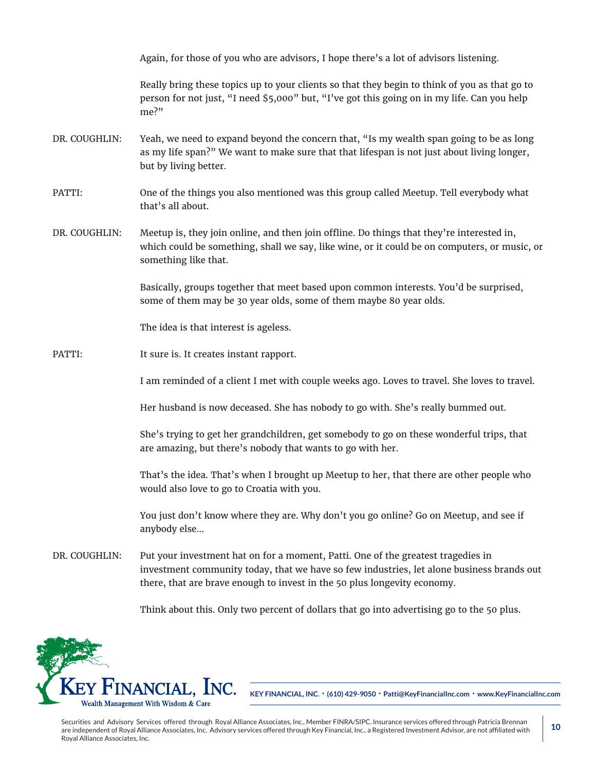Again, for those of you who are advisors, I hope there's a lot of advisors listening.

Really bring these topics up to your clients so that they begin to think of you as that go to person for not just, "I need \$5,000" but, "I've got this going on in my life. Can you help me?"

- DR. COUGHLIN: Yeah, we need to expand beyond the concern that, "Is my wealth span going to be as long as my life span?" We want to make sure that that lifespan is not just about living longer, but by living better.
- PATTI: One of the things you also mentioned was this group called Meetup. Tell everybody what that's all about.
- DR. COUGHLIN: Meetup is, they join online, and then join offline. Do things that they're interested in, which could be something, shall we say, like wine, or it could be on computers, or music, or something like that.

Basically, groups together that meet based upon common interests. You'd be surprised, some of them may be 30 year olds, some of them maybe 80 year olds.

The idea is that interest is ageless.

PATTI: It sure is. It creates instant rapport.

I am reminded of a client I met with couple weeks ago. Loves to travel. She loves to travel.

Her husband is now deceased. She has nobody to go with. She's really bummed out.

She's trying to get her grandchildren, get somebody to go on these wonderful trips, that are amazing, but there's nobody that wants to go with her.

That's the idea. That's when I brought up Meetup to her, that there are other people who would also love to go to Croatia with you.

You just don't know where they are. Why don't you go online? Go on Meetup, and see if anybody else...

DR. COUGHLIN: Put your investment hat on for a moment, Patti. One of the greatest tragedies in investment community today, that we have so few industries, let alone business brands out there, that are brave enough to invest in the 50 plus longevity economy.

Think about this. Only two percent of dollars that go into advertising go to the 50 plus.



**KEY FINANCIAL, INC. • (610) 429-9050 • Patti@KeyFinancialInc.com • www.KeyFinancialInc.com**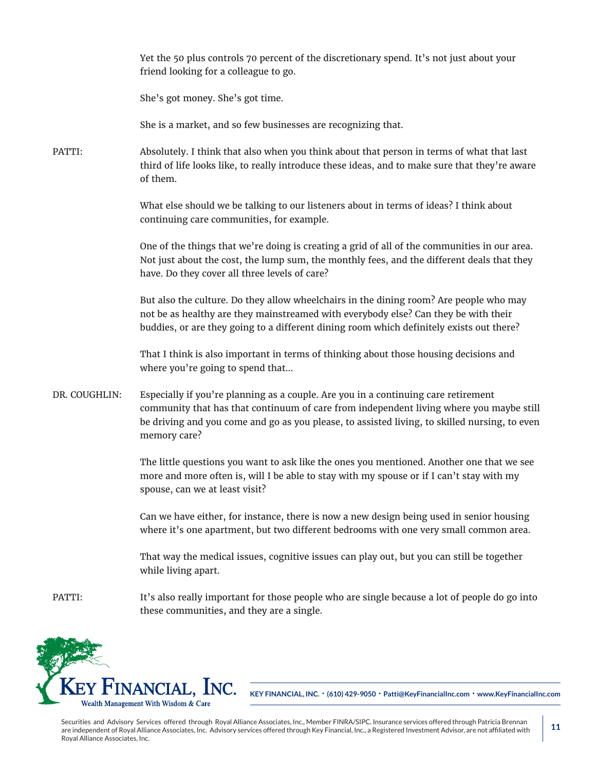Yet the 50 plus controls 70 percent of the discretionary spend. It's not just about your friend looking for a colleague to go.

She's got money. She's got time.

She is a market, and so few businesses are recognizing that.

PATTI: Absolutely. I think that also when you think about that person in terms of what that last third of life looks like, to really introduce these ideas, and to make sure that they're aware of them.

> What else should we be talking to our listeners about in terms of ideas? I think about continuing care communities, for example.

One of the things that we're doing is creating a grid of all of the communities in our area. Not just about the cost, the lump sum, the monthly fees, and the different deals that they have. Do they cover all three levels of care?

But also the culture. Do they allow wheelchairs in the dining room? Are people who may not be as healthy are they mainstreamed with everybody else? Can they be with their buddies, or are they going to a different dining room which definitely exists out there?

That I think is also important in terms of thinking about those housing decisions and where you're going to spend that...

DR. COUGHLIN: Especially if you're planning as a couple. Are you in a continuing care retirement community that has that continuum of care from independent living where you maybe still be driving and you come and go as you please, to assisted living, to skilled nursing, to even memory care?

> The little questions you want to ask like the ones you mentioned. Another one that we see more and more often is, will I be able to stay with my spouse or if I can't stay with my spouse, can we at least visit?

> Can we have either, for instance, there is now a new design being used in senior housing where it's one apartment, but two different bedrooms with one very small common area.

That way the medical issues, cognitive issues can play out, but you can still be together while living apart.

PATTI: It's also really important for those people who are single because a lot of people do go into these communities, and they are a single.



**KEY FINANCIAL, INC. • (610) 429-9050 • Patti@KeyFinancialInc.com • www.KeyFinancialInc.com**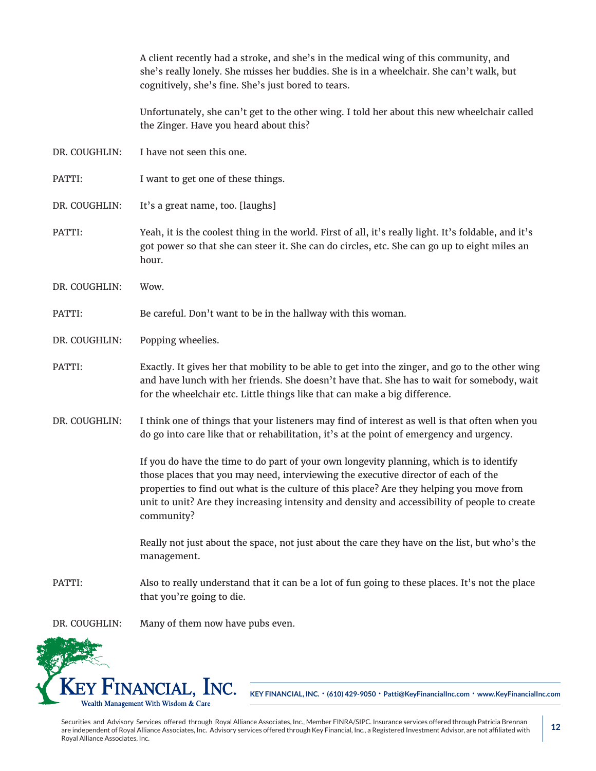|               | A client recently had a stroke, and she's in the medical wing of this community, and<br>she's really lonely. She misses her buddies. She is in a wheelchair. She can't walk, but<br>cognitively, she's fine. She's just bored to tears.                                                                                                                                                  |
|---------------|------------------------------------------------------------------------------------------------------------------------------------------------------------------------------------------------------------------------------------------------------------------------------------------------------------------------------------------------------------------------------------------|
|               | Unfortunately, she can't get to the other wing. I told her about this new wheelchair called<br>the Zinger. Have you heard about this?                                                                                                                                                                                                                                                    |
| DR. COUGHLIN: | I have not seen this one.                                                                                                                                                                                                                                                                                                                                                                |
| PATTI:        | I want to get one of these things.                                                                                                                                                                                                                                                                                                                                                       |
| DR. COUGHLIN: | It's a great name, too. [laughs]                                                                                                                                                                                                                                                                                                                                                         |
| PATTI:        | Yeah, it is the coolest thing in the world. First of all, it's really light. It's foldable, and it's<br>got power so that she can steer it. She can do circles, etc. She can go up to eight miles an<br>hour.                                                                                                                                                                            |
| DR. COUGHLIN: | Wow.                                                                                                                                                                                                                                                                                                                                                                                     |
| PATTI:        | Be careful. Don't want to be in the hallway with this woman.                                                                                                                                                                                                                                                                                                                             |
| DR. COUGHLIN: | Popping wheelies.                                                                                                                                                                                                                                                                                                                                                                        |
| PATTI:        | Exactly. It gives her that mobility to be able to get into the zinger, and go to the other wing<br>and have lunch with her friends. She doesn't have that. She has to wait for somebody, wait<br>for the wheelchair etc. Little things like that can make a big difference.                                                                                                              |
| DR. COUGHLIN: | I think one of things that your listeners may find of interest as well is that often when you<br>do go into care like that or rehabilitation, it's at the point of emergency and urgency.                                                                                                                                                                                                |
|               | If you do have the time to do part of your own longevity planning, which is to identify<br>those places that you may need, interviewing the executive director of each of the<br>properties to find out what is the culture of this place? Are they helping you move from<br>unit to unit? Are they increasing intensity and density and accessibility of people to create<br>community? |
|               | Really not just about the space, not just about the care they have on the list, but who's the<br>management.                                                                                                                                                                                                                                                                             |
| PATTI:        | Also to really understand that it can be a lot of fun going to these places. It's not the place<br>that you're going to die.                                                                                                                                                                                                                                                             |
| DR. COUGHLIN: | Many of them now have pubs even.                                                                                                                                                                                                                                                                                                                                                         |
|               |                                                                                                                                                                                                                                                                                                                                                                                          |



**KEY FINANCIAL, INC. • (610) 429-9050 • Patti@KeyFinancialInc.com • www.KeyFinancialInc.com**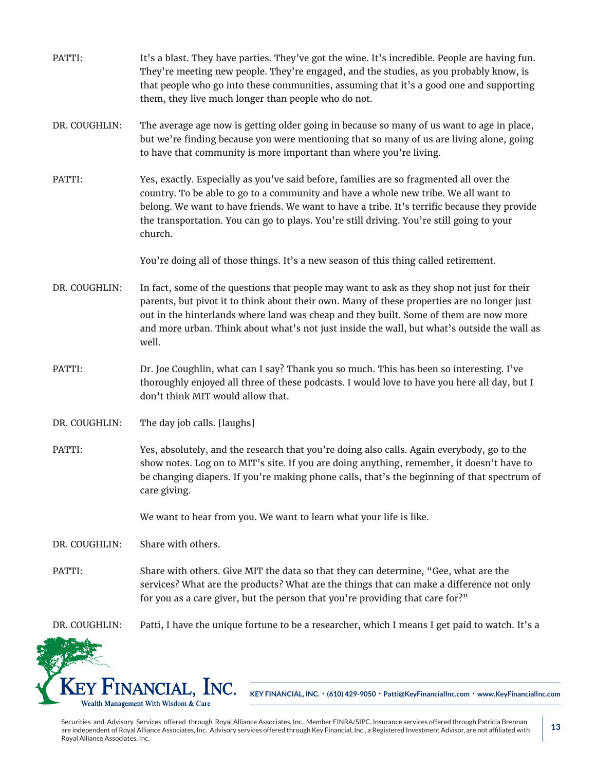| PATTI:        | It's a blast. They have parties. They've got the wine. It's incredible. People are having fun.<br>They're meeting new people. They're engaged, and the studies, as you probably know, is<br>that people who go into these communities, assuming that it's a good one and supporting<br>them, they live much longer than people who do not.                                                 |
|---------------|--------------------------------------------------------------------------------------------------------------------------------------------------------------------------------------------------------------------------------------------------------------------------------------------------------------------------------------------------------------------------------------------|
| DR. COUGHLIN: | The average age now is getting older going in because so many of us want to age in place,<br>but we're finding because you were mentioning that so many of us are living alone, going<br>to have that community is more important than where you're living.                                                                                                                                |
| PATTI:        | Yes, exactly. Especially as you've said before, families are so fragmented all over the<br>country. To be able to go to a community and have a whole new tribe. We all want to<br>belong. We want to have friends. We want to have a tribe. It's terrific because they provide<br>the transportation. You can go to plays. You're still driving. You're still going to your<br>church.     |
|               | You're doing all of those things. It's a new season of this thing called retirement.                                                                                                                                                                                                                                                                                                       |
| DR. COUGHLIN: | In fact, some of the questions that people may want to ask as they shop not just for their<br>parents, but pivot it to think about their own. Many of these properties are no longer just<br>out in the hinterlands where land was cheap and they built. Some of them are now more<br>and more urban. Think about what's not just inside the wall, but what's outside the wall as<br>well. |
| PATTI:        | Dr. Joe Coughlin, what can I say? Thank you so much. This has been so interesting. I've<br>thoroughly enjoyed all three of these podcasts. I would love to have you here all day, but I<br>don't think MIT would allow that.                                                                                                                                                               |
| DR. COUGHLIN: | The day job calls. [laughs]                                                                                                                                                                                                                                                                                                                                                                |
| PATTI:        | Yes, absolutely, and the research that you're doing also calls. Again everybody, go to the<br>show notes. Log on to MIT's site. If you are doing anything, remember, it doesn't have to<br>be changing diapers. If you're making phone calls, that's the beginning of that spectrum of<br>care giving.                                                                                     |
|               | We want to hear from you. We want to learn what your life is like.                                                                                                                                                                                                                                                                                                                         |
| DR. COUGHLIN: | Share with others.                                                                                                                                                                                                                                                                                                                                                                         |
| PATTI:        | Share with others. Give MIT the data so that they can determine, "Gee, what are the<br>services? What are the products? What are the things that can make a difference not only<br>for you as a care giver, but the person that you're providing that care for?"                                                                                                                           |
| DR. COUGHLIN: | Patti, I have the unique fortune to be a researcher, which I means I get paid to watch. It's a                                                                                                                                                                                                                                                                                             |
|               |                                                                                                                                                                                                                                                                                                                                                                                            |
|               | KEY FINANCIAL, INC.<br>KEY FINANCIAL, INC. . (610) 429-9050 · Patti@KeyFinancialInc.com · www.KeyFinancialIn                                                                                                                                                                                                                                                                               |

Securities and Advisory Services offered through Royal Alliance Associates, Inc., Member FINRA/SIPC. Insurance services offered through Patricia Brennan are independent of Royal Alliance Associates, Inc. Advisory services offered through Key Financial, Inc., a Registered Investment Advisor, are not affiliated with Royal Alliance Associates, Inc.

**Registration** 

Wealth Management With Wisdom & Care

**KEY FINANCIAL, INC. • (610) 429-9050 • Patti@KeyFinancialInc.com • www.KeyFinancialInc.com**